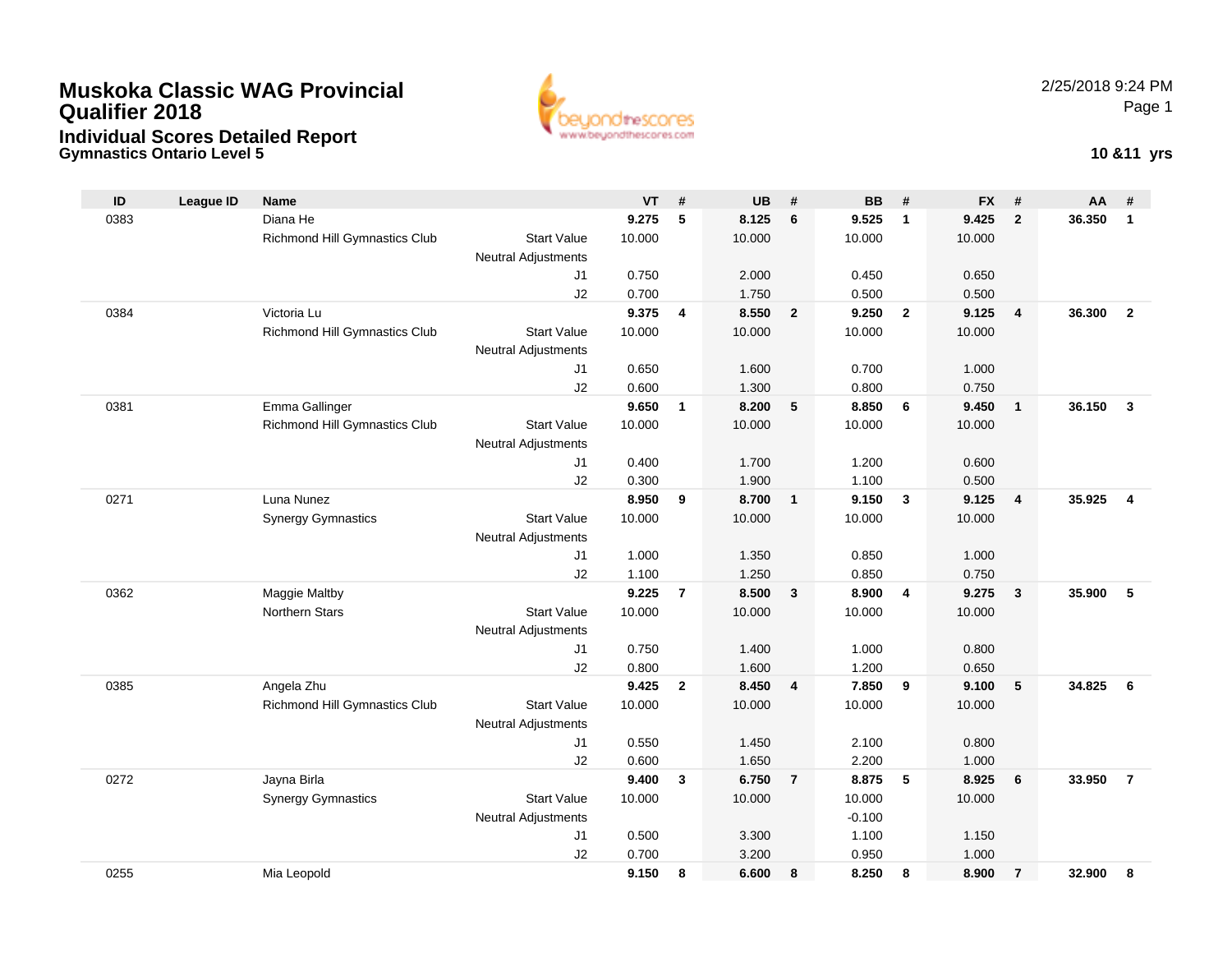## **Muskoka Classic WAG ProvincialQualifier 2018Individual Scores Detailed Report**

**Gymnastics Ontario Level 5**



**10 &11 yrs**

| 5<br>Diana He<br>8.125<br>6<br>9.525<br>$\overline{1}$<br>9.425<br>$\overline{2}$<br>36.350<br>0383<br>9.275<br>$\mathbf{1}$<br><b>Richmond Hill Gymnastics Club</b><br><b>Start Value</b><br>10.000<br>10.000<br>10.000<br>10.000<br><b>Neutral Adjustments</b><br>0.750<br>2.000<br>0.450<br>0.650<br>J1<br>J2<br>0.700<br>1.750<br>0.500<br>0.500<br>Victoria Lu<br>9.375<br>8.550<br>9.250<br>9.125<br>36.300<br>$\overline{2}$<br>$\overline{2}$<br>$\overline{4}$<br>$\overline{2}$<br>0384<br>4<br><b>Richmond Hill Gymnastics Club</b><br><b>Start Value</b><br>10.000<br>10.000<br>10.000<br>10.000<br><b>Neutral Adjustments</b><br>0.650<br>1.600<br>0.700<br>1.000<br>J1<br>J2<br>0.600<br>1.300<br>0.800<br>0.750<br>Emma Gallinger<br>9.650<br>8.200<br>8.850<br>36.150<br>0381<br>5<br>6<br>9.450<br>$\mathbf{3}$<br>1<br>$\overline{1}$<br>Richmond Hill Gymnastics Club<br><b>Start Value</b><br>10.000<br>10.000<br>10.000<br>10.000<br><b>Neutral Adjustments</b><br>0.400<br>1.700<br>J1<br>1.200<br>0.600<br>J2<br>0.300<br>1.900<br>1.100<br>0.500<br>8.950<br>Luna Nunez<br>8.700<br>9.150<br>9.125<br>35.925<br>0271<br>9<br>$\mathbf{3}$<br>$\overline{4}$<br>$\overline{4}$<br>$\mathbf{1}$<br><b>Start Value</b><br>10.000<br>10.000<br><b>Synergy Gymnastics</b><br>10.000<br>10.000<br><b>Neutral Adjustments</b><br>1.000<br>1.350<br>0.850<br>1.000<br>J1<br>J2<br>1.100<br>1.250<br>0.850<br>0.750<br>9.225<br>35.900<br>0362<br>Maggie Maltby<br>$\overline{7}$<br>8.500<br>$\overline{3}$<br>8.900<br>$\overline{4}$<br>9.275<br>$\overline{\mathbf{3}}$<br>-5<br><b>Northern Stars</b><br><b>Start Value</b><br>10.000<br>10.000<br>10.000<br>10.000<br><b>Neutral Adjustments</b><br>0.750<br>J1<br>1.400<br>1.000<br>0.800<br>J2<br>0.800<br>1.600<br>1.200<br>0.650<br>Angela Zhu<br>9.425<br>34.825<br>0385<br>$\mathbf{2}$<br>8.450<br>7.850<br>9<br>9.100<br>- 5<br>6<br>4<br>Richmond Hill Gymnastics Club<br><b>Start Value</b><br>10.000<br>10.000<br>10.000<br>10.000<br><b>Neutral Adjustments</b><br>0.550<br>1.450<br>J1<br>2.100<br>0.800<br>J2<br>0.600<br>1.650<br>2.200<br>1.000<br>Jayna Birla<br>9.400<br>6.750<br>$\overline{7}$<br>8.875<br>5<br>33.950<br>$\overline{7}$<br>0272<br>$\mathbf{3}$<br>8.925<br>6<br><b>Start Value</b><br>10.000<br><b>Synergy Gymnastics</b><br>10.000<br>10.000<br>10.000<br><b>Neutral Adjustments</b><br>$-0.100$<br>0.500<br>3.300<br>1.100<br>1.150<br>J1<br>J2<br>0.700<br>3.200<br>0.950<br>1.000<br>8.250<br>0255<br>9.150<br>8<br>6.600<br>8<br>8<br>8.900<br>$\overline{7}$<br>32.900<br>Mia Leopold<br>8 |    |                  |             |           |   |           |   |           |   |           |   |    |   |
|-------------------------------------------------------------------------------------------------------------------------------------------------------------------------------------------------------------------------------------------------------------------------------------------------------------------------------------------------------------------------------------------------------------------------------------------------------------------------------------------------------------------------------------------------------------------------------------------------------------------------------------------------------------------------------------------------------------------------------------------------------------------------------------------------------------------------------------------------------------------------------------------------------------------------------------------------------------------------------------------------------------------------------------------------------------------------------------------------------------------------------------------------------------------------------------------------------------------------------------------------------------------------------------------------------------------------------------------------------------------------------------------------------------------------------------------------------------------------------------------------------------------------------------------------------------------------------------------------------------------------------------------------------------------------------------------------------------------------------------------------------------------------------------------------------------------------------------------------------------------------------------------------------------------------------------------------------------------------------------------------------------------------------------------------------------------------------------------------------------------------------------------------------------------------------------------------------------------------------------------------------------------------------------------------------------------------------------------------------------------------------------------------------------------------------------------------------------------------------------------------------------------------------------------------------------------------------------------------------------|----|------------------|-------------|-----------|---|-----------|---|-----------|---|-----------|---|----|---|
|                                                                                                                                                                                                                                                                                                                                                                                                                                                                                                                                                                                                                                                                                                                                                                                                                                                                                                                                                                                                                                                                                                                                                                                                                                                                                                                                                                                                                                                                                                                                                                                                                                                                                                                                                                                                                                                                                                                                                                                                                                                                                                                                                                                                                                                                                                                                                                                                                                                                                                                                                                                                             | ID | <b>League ID</b> | <b>Name</b> | <b>VT</b> | # | <b>UB</b> | # | <b>BB</b> | # | <b>FX</b> | # | AA | # |
|                                                                                                                                                                                                                                                                                                                                                                                                                                                                                                                                                                                                                                                                                                                                                                                                                                                                                                                                                                                                                                                                                                                                                                                                                                                                                                                                                                                                                                                                                                                                                                                                                                                                                                                                                                                                                                                                                                                                                                                                                                                                                                                                                                                                                                                                                                                                                                                                                                                                                                                                                                                                             |    |                  |             |           |   |           |   |           |   |           |   |    |   |
|                                                                                                                                                                                                                                                                                                                                                                                                                                                                                                                                                                                                                                                                                                                                                                                                                                                                                                                                                                                                                                                                                                                                                                                                                                                                                                                                                                                                                                                                                                                                                                                                                                                                                                                                                                                                                                                                                                                                                                                                                                                                                                                                                                                                                                                                                                                                                                                                                                                                                                                                                                                                             |    |                  |             |           |   |           |   |           |   |           |   |    |   |
|                                                                                                                                                                                                                                                                                                                                                                                                                                                                                                                                                                                                                                                                                                                                                                                                                                                                                                                                                                                                                                                                                                                                                                                                                                                                                                                                                                                                                                                                                                                                                                                                                                                                                                                                                                                                                                                                                                                                                                                                                                                                                                                                                                                                                                                                                                                                                                                                                                                                                                                                                                                                             |    |                  |             |           |   |           |   |           |   |           |   |    |   |
|                                                                                                                                                                                                                                                                                                                                                                                                                                                                                                                                                                                                                                                                                                                                                                                                                                                                                                                                                                                                                                                                                                                                                                                                                                                                                                                                                                                                                                                                                                                                                                                                                                                                                                                                                                                                                                                                                                                                                                                                                                                                                                                                                                                                                                                                                                                                                                                                                                                                                                                                                                                                             |    |                  |             |           |   |           |   |           |   |           |   |    |   |
|                                                                                                                                                                                                                                                                                                                                                                                                                                                                                                                                                                                                                                                                                                                                                                                                                                                                                                                                                                                                                                                                                                                                                                                                                                                                                                                                                                                                                                                                                                                                                                                                                                                                                                                                                                                                                                                                                                                                                                                                                                                                                                                                                                                                                                                                                                                                                                                                                                                                                                                                                                                                             |    |                  |             |           |   |           |   |           |   |           |   |    |   |
|                                                                                                                                                                                                                                                                                                                                                                                                                                                                                                                                                                                                                                                                                                                                                                                                                                                                                                                                                                                                                                                                                                                                                                                                                                                                                                                                                                                                                                                                                                                                                                                                                                                                                                                                                                                                                                                                                                                                                                                                                                                                                                                                                                                                                                                                                                                                                                                                                                                                                                                                                                                                             |    |                  |             |           |   |           |   |           |   |           |   |    |   |
|                                                                                                                                                                                                                                                                                                                                                                                                                                                                                                                                                                                                                                                                                                                                                                                                                                                                                                                                                                                                                                                                                                                                                                                                                                                                                                                                                                                                                                                                                                                                                                                                                                                                                                                                                                                                                                                                                                                                                                                                                                                                                                                                                                                                                                                                                                                                                                                                                                                                                                                                                                                                             |    |                  |             |           |   |           |   |           |   |           |   |    |   |
|                                                                                                                                                                                                                                                                                                                                                                                                                                                                                                                                                                                                                                                                                                                                                                                                                                                                                                                                                                                                                                                                                                                                                                                                                                                                                                                                                                                                                                                                                                                                                                                                                                                                                                                                                                                                                                                                                                                                                                                                                                                                                                                                                                                                                                                                                                                                                                                                                                                                                                                                                                                                             |    |                  |             |           |   |           |   |           |   |           |   |    |   |
|                                                                                                                                                                                                                                                                                                                                                                                                                                                                                                                                                                                                                                                                                                                                                                                                                                                                                                                                                                                                                                                                                                                                                                                                                                                                                                                                                                                                                                                                                                                                                                                                                                                                                                                                                                                                                                                                                                                                                                                                                                                                                                                                                                                                                                                                                                                                                                                                                                                                                                                                                                                                             |    |                  |             |           |   |           |   |           |   |           |   |    |   |
|                                                                                                                                                                                                                                                                                                                                                                                                                                                                                                                                                                                                                                                                                                                                                                                                                                                                                                                                                                                                                                                                                                                                                                                                                                                                                                                                                                                                                                                                                                                                                                                                                                                                                                                                                                                                                                                                                                                                                                                                                                                                                                                                                                                                                                                                                                                                                                                                                                                                                                                                                                                                             |    |                  |             |           |   |           |   |           |   |           |   |    |   |
|                                                                                                                                                                                                                                                                                                                                                                                                                                                                                                                                                                                                                                                                                                                                                                                                                                                                                                                                                                                                                                                                                                                                                                                                                                                                                                                                                                                                                                                                                                                                                                                                                                                                                                                                                                                                                                                                                                                                                                                                                                                                                                                                                                                                                                                                                                                                                                                                                                                                                                                                                                                                             |    |                  |             |           |   |           |   |           |   |           |   |    |   |
|                                                                                                                                                                                                                                                                                                                                                                                                                                                                                                                                                                                                                                                                                                                                                                                                                                                                                                                                                                                                                                                                                                                                                                                                                                                                                                                                                                                                                                                                                                                                                                                                                                                                                                                                                                                                                                                                                                                                                                                                                                                                                                                                                                                                                                                                                                                                                                                                                                                                                                                                                                                                             |    |                  |             |           |   |           |   |           |   |           |   |    |   |
|                                                                                                                                                                                                                                                                                                                                                                                                                                                                                                                                                                                                                                                                                                                                                                                                                                                                                                                                                                                                                                                                                                                                                                                                                                                                                                                                                                                                                                                                                                                                                                                                                                                                                                                                                                                                                                                                                                                                                                                                                                                                                                                                                                                                                                                                                                                                                                                                                                                                                                                                                                                                             |    |                  |             |           |   |           |   |           |   |           |   |    |   |
|                                                                                                                                                                                                                                                                                                                                                                                                                                                                                                                                                                                                                                                                                                                                                                                                                                                                                                                                                                                                                                                                                                                                                                                                                                                                                                                                                                                                                                                                                                                                                                                                                                                                                                                                                                                                                                                                                                                                                                                                                                                                                                                                                                                                                                                                                                                                                                                                                                                                                                                                                                                                             |    |                  |             |           |   |           |   |           |   |           |   |    |   |
|                                                                                                                                                                                                                                                                                                                                                                                                                                                                                                                                                                                                                                                                                                                                                                                                                                                                                                                                                                                                                                                                                                                                                                                                                                                                                                                                                                                                                                                                                                                                                                                                                                                                                                                                                                                                                                                                                                                                                                                                                                                                                                                                                                                                                                                                                                                                                                                                                                                                                                                                                                                                             |    |                  |             |           |   |           |   |           |   |           |   |    |   |
|                                                                                                                                                                                                                                                                                                                                                                                                                                                                                                                                                                                                                                                                                                                                                                                                                                                                                                                                                                                                                                                                                                                                                                                                                                                                                                                                                                                                                                                                                                                                                                                                                                                                                                                                                                                                                                                                                                                                                                                                                                                                                                                                                                                                                                                                                                                                                                                                                                                                                                                                                                                                             |    |                  |             |           |   |           |   |           |   |           |   |    |   |
|                                                                                                                                                                                                                                                                                                                                                                                                                                                                                                                                                                                                                                                                                                                                                                                                                                                                                                                                                                                                                                                                                                                                                                                                                                                                                                                                                                                                                                                                                                                                                                                                                                                                                                                                                                                                                                                                                                                                                                                                                                                                                                                                                                                                                                                                                                                                                                                                                                                                                                                                                                                                             |    |                  |             |           |   |           |   |           |   |           |   |    |   |
|                                                                                                                                                                                                                                                                                                                                                                                                                                                                                                                                                                                                                                                                                                                                                                                                                                                                                                                                                                                                                                                                                                                                                                                                                                                                                                                                                                                                                                                                                                                                                                                                                                                                                                                                                                                                                                                                                                                                                                                                                                                                                                                                                                                                                                                                                                                                                                                                                                                                                                                                                                                                             |    |                  |             |           |   |           |   |           |   |           |   |    |   |
|                                                                                                                                                                                                                                                                                                                                                                                                                                                                                                                                                                                                                                                                                                                                                                                                                                                                                                                                                                                                                                                                                                                                                                                                                                                                                                                                                                                                                                                                                                                                                                                                                                                                                                                                                                                                                                                                                                                                                                                                                                                                                                                                                                                                                                                                                                                                                                                                                                                                                                                                                                                                             |    |                  |             |           |   |           |   |           |   |           |   |    |   |
|                                                                                                                                                                                                                                                                                                                                                                                                                                                                                                                                                                                                                                                                                                                                                                                                                                                                                                                                                                                                                                                                                                                                                                                                                                                                                                                                                                                                                                                                                                                                                                                                                                                                                                                                                                                                                                                                                                                                                                                                                                                                                                                                                                                                                                                                                                                                                                                                                                                                                                                                                                                                             |    |                  |             |           |   |           |   |           |   |           |   |    |   |
|                                                                                                                                                                                                                                                                                                                                                                                                                                                                                                                                                                                                                                                                                                                                                                                                                                                                                                                                                                                                                                                                                                                                                                                                                                                                                                                                                                                                                                                                                                                                                                                                                                                                                                                                                                                                                                                                                                                                                                                                                                                                                                                                                                                                                                                                                                                                                                                                                                                                                                                                                                                                             |    |                  |             |           |   |           |   |           |   |           |   |    |   |
|                                                                                                                                                                                                                                                                                                                                                                                                                                                                                                                                                                                                                                                                                                                                                                                                                                                                                                                                                                                                                                                                                                                                                                                                                                                                                                                                                                                                                                                                                                                                                                                                                                                                                                                                                                                                                                                                                                                                                                                                                                                                                                                                                                                                                                                                                                                                                                                                                                                                                                                                                                                                             |    |                  |             |           |   |           |   |           |   |           |   |    |   |
|                                                                                                                                                                                                                                                                                                                                                                                                                                                                                                                                                                                                                                                                                                                                                                                                                                                                                                                                                                                                                                                                                                                                                                                                                                                                                                                                                                                                                                                                                                                                                                                                                                                                                                                                                                                                                                                                                                                                                                                                                                                                                                                                                                                                                                                                                                                                                                                                                                                                                                                                                                                                             |    |                  |             |           |   |           |   |           |   |           |   |    |   |
|                                                                                                                                                                                                                                                                                                                                                                                                                                                                                                                                                                                                                                                                                                                                                                                                                                                                                                                                                                                                                                                                                                                                                                                                                                                                                                                                                                                                                                                                                                                                                                                                                                                                                                                                                                                                                                                                                                                                                                                                                                                                                                                                                                                                                                                                                                                                                                                                                                                                                                                                                                                                             |    |                  |             |           |   |           |   |           |   |           |   |    |   |
|                                                                                                                                                                                                                                                                                                                                                                                                                                                                                                                                                                                                                                                                                                                                                                                                                                                                                                                                                                                                                                                                                                                                                                                                                                                                                                                                                                                                                                                                                                                                                                                                                                                                                                                                                                                                                                                                                                                                                                                                                                                                                                                                                                                                                                                                                                                                                                                                                                                                                                                                                                                                             |    |                  |             |           |   |           |   |           |   |           |   |    |   |
|                                                                                                                                                                                                                                                                                                                                                                                                                                                                                                                                                                                                                                                                                                                                                                                                                                                                                                                                                                                                                                                                                                                                                                                                                                                                                                                                                                                                                                                                                                                                                                                                                                                                                                                                                                                                                                                                                                                                                                                                                                                                                                                                                                                                                                                                                                                                                                                                                                                                                                                                                                                                             |    |                  |             |           |   |           |   |           |   |           |   |    |   |
|                                                                                                                                                                                                                                                                                                                                                                                                                                                                                                                                                                                                                                                                                                                                                                                                                                                                                                                                                                                                                                                                                                                                                                                                                                                                                                                                                                                                                                                                                                                                                                                                                                                                                                                                                                                                                                                                                                                                                                                                                                                                                                                                                                                                                                                                                                                                                                                                                                                                                                                                                                                                             |    |                  |             |           |   |           |   |           |   |           |   |    |   |
|                                                                                                                                                                                                                                                                                                                                                                                                                                                                                                                                                                                                                                                                                                                                                                                                                                                                                                                                                                                                                                                                                                                                                                                                                                                                                                                                                                                                                                                                                                                                                                                                                                                                                                                                                                                                                                                                                                                                                                                                                                                                                                                                                                                                                                                                                                                                                                                                                                                                                                                                                                                                             |    |                  |             |           |   |           |   |           |   |           |   |    |   |
|                                                                                                                                                                                                                                                                                                                                                                                                                                                                                                                                                                                                                                                                                                                                                                                                                                                                                                                                                                                                                                                                                                                                                                                                                                                                                                                                                                                                                                                                                                                                                                                                                                                                                                                                                                                                                                                                                                                                                                                                                                                                                                                                                                                                                                                                                                                                                                                                                                                                                                                                                                                                             |    |                  |             |           |   |           |   |           |   |           |   |    |   |
|                                                                                                                                                                                                                                                                                                                                                                                                                                                                                                                                                                                                                                                                                                                                                                                                                                                                                                                                                                                                                                                                                                                                                                                                                                                                                                                                                                                                                                                                                                                                                                                                                                                                                                                                                                                                                                                                                                                                                                                                                                                                                                                                                                                                                                                                                                                                                                                                                                                                                                                                                                                                             |    |                  |             |           |   |           |   |           |   |           |   |    |   |
|                                                                                                                                                                                                                                                                                                                                                                                                                                                                                                                                                                                                                                                                                                                                                                                                                                                                                                                                                                                                                                                                                                                                                                                                                                                                                                                                                                                                                                                                                                                                                                                                                                                                                                                                                                                                                                                                                                                                                                                                                                                                                                                                                                                                                                                                                                                                                                                                                                                                                                                                                                                                             |    |                  |             |           |   |           |   |           |   |           |   |    |   |
|                                                                                                                                                                                                                                                                                                                                                                                                                                                                                                                                                                                                                                                                                                                                                                                                                                                                                                                                                                                                                                                                                                                                                                                                                                                                                                                                                                                                                                                                                                                                                                                                                                                                                                                                                                                                                                                                                                                                                                                                                                                                                                                                                                                                                                                                                                                                                                                                                                                                                                                                                                                                             |    |                  |             |           |   |           |   |           |   |           |   |    |   |
|                                                                                                                                                                                                                                                                                                                                                                                                                                                                                                                                                                                                                                                                                                                                                                                                                                                                                                                                                                                                                                                                                                                                                                                                                                                                                                                                                                                                                                                                                                                                                                                                                                                                                                                                                                                                                                                                                                                                                                                                                                                                                                                                                                                                                                                                                                                                                                                                                                                                                                                                                                                                             |    |                  |             |           |   |           |   |           |   |           |   |    |   |
|                                                                                                                                                                                                                                                                                                                                                                                                                                                                                                                                                                                                                                                                                                                                                                                                                                                                                                                                                                                                                                                                                                                                                                                                                                                                                                                                                                                                                                                                                                                                                                                                                                                                                                                                                                                                                                                                                                                                                                                                                                                                                                                                                                                                                                                                                                                                                                                                                                                                                                                                                                                                             |    |                  |             |           |   |           |   |           |   |           |   |    |   |
|                                                                                                                                                                                                                                                                                                                                                                                                                                                                                                                                                                                                                                                                                                                                                                                                                                                                                                                                                                                                                                                                                                                                                                                                                                                                                                                                                                                                                                                                                                                                                                                                                                                                                                                                                                                                                                                                                                                                                                                                                                                                                                                                                                                                                                                                                                                                                                                                                                                                                                                                                                                                             |    |                  |             |           |   |           |   |           |   |           |   |    |   |
|                                                                                                                                                                                                                                                                                                                                                                                                                                                                                                                                                                                                                                                                                                                                                                                                                                                                                                                                                                                                                                                                                                                                                                                                                                                                                                                                                                                                                                                                                                                                                                                                                                                                                                                                                                                                                                                                                                                                                                                                                                                                                                                                                                                                                                                                                                                                                                                                                                                                                                                                                                                                             |    |                  |             |           |   |           |   |           |   |           |   |    |   |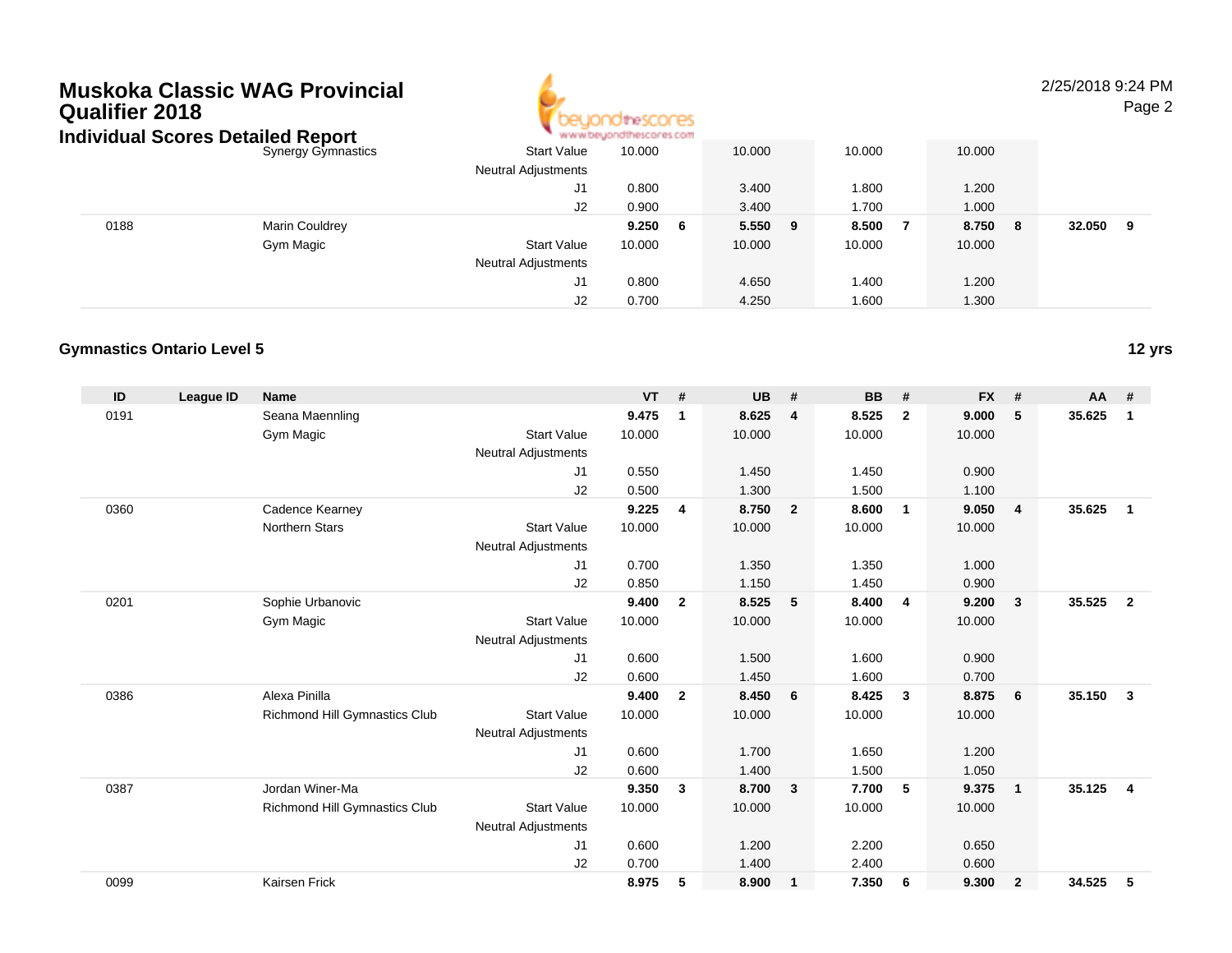# **Muskoka Classic WAG ProvincialQualifier 2018**



### 2/25/2018 9:24 PM

Page 2

|      | Individual Scores Detailed Report |                            | www.beyondthescores.com |         |        |              |             |
|------|-----------------------------------|----------------------------|-------------------------|---------|--------|--------------|-------------|
|      | <b>Synergy Gymnastics</b>         | <b>Start Value</b>         | 10.000                  | 10.000  | 10.000 | 10.000       |             |
|      |                                   | <b>Neutral Adjustments</b> |                         |         |        |              |             |
|      |                                   | J1                         | 0.800                   | 3.400   | 1.800  | 1.200        |             |
|      |                                   | J2                         | 0.900                   | 3.400   | 1.700  | 1.000        |             |
| 0188 | Marin Couldrey                    |                            | 9.250<br>- 6            | 5.550 9 | 8.500  | 8.750<br>- 8 | 32.050<br>9 |
|      | Gym Magic                         | <b>Start Value</b>         | 10.000                  | 10.000  | 10.000 | 10.000       |             |
|      |                                   | <b>Neutral Adjustments</b> |                         |         |        |              |             |
|      |                                   | J1                         | 0.800                   | 4.650   | 1.400  | 1.200        |             |
|      |                                   | J2                         | 0.700                   | 4.250   | 1.600  | 1.300        |             |

#### **Gymnastics Ontario Level 5**

| ID   | <b>League ID</b> | <b>Name</b>                   |                            | <b>VT</b> | #              | <b>UB</b> | #                       | <b>BB</b> | #              | <b>FX</b> | #              | <b>AA</b> | #              |
|------|------------------|-------------------------------|----------------------------|-----------|----------------|-----------|-------------------------|-----------|----------------|-----------|----------------|-----------|----------------|
| 0191 |                  | Seana Maennling               |                            | 9.475     | 1              | 8.625     | $\overline{4}$          | 8.525     | $\overline{2}$ | 9.000     | 5              | 35.625    | 1              |
|      |                  | Gym Magic                     | <b>Start Value</b>         | 10.000    |                | 10.000    |                         | 10.000    |                | 10.000    |                |           |                |
|      |                  |                               | <b>Neutral Adjustments</b> |           |                |           |                         |           |                |           |                |           |                |
|      |                  |                               | J1                         | 0.550     |                | 1.450     |                         | 1.450     |                | 0.900     |                |           |                |
|      |                  |                               | J2                         | 0.500     |                | 1.300     |                         | 1.500     |                | 1.100     |                |           |                |
| 0360 |                  | Cadence Kearney               |                            | 9.225     | $\overline{4}$ | 8.750     | $\overline{\mathbf{2}}$ | 8.600     | $\overline{1}$ | 9.050     | $\overline{4}$ | 35.625    | $\mathbf{1}$   |
|      |                  | Northern Stars                | <b>Start Value</b>         | 10.000    |                | 10.000    |                         | 10.000    |                | 10.000    |                |           |                |
|      |                  |                               | <b>Neutral Adjustments</b> |           |                |           |                         |           |                |           |                |           |                |
|      |                  |                               | J <sub>1</sub>             | 0.700     |                | 1.350     |                         | 1.350     |                | 1.000     |                |           |                |
|      |                  |                               | J2                         | 0.850     |                | 1.150     |                         | 1.450     |                | 0.900     |                |           |                |
| 0201 |                  | Sophie Urbanovic              |                            | 9.400     | $\overline{2}$ | 8.525     | 5                       | 8.400     | 4              | 9.200     | $\mathbf{3}$   | 35.525    | $\overline{2}$ |
|      |                  | Gym Magic                     | <b>Start Value</b>         | 10.000    |                | 10.000    |                         | 10.000    |                | 10.000    |                |           |                |
|      |                  |                               | <b>Neutral Adjustments</b> |           |                |           |                         |           |                |           |                |           |                |
|      |                  |                               | J <sub>1</sub>             | 0.600     |                | 1.500     |                         | 1.600     |                | 0.900     |                |           |                |
|      |                  |                               | J2                         | 0.600     |                | 1.450     |                         | 1.600     |                | 0.700     |                |           |                |
| 0386 |                  | Alexa Pinilla                 |                            | 9.400     | $\overline{2}$ | 8.450     | 6                       | 8.425     | $\mathbf{3}$   | 8.875     | 6              | 35.150    | $\mathbf{3}$   |
|      |                  | Richmond Hill Gymnastics Club | <b>Start Value</b>         | 10.000    |                | 10.000    |                         | 10.000    |                | 10.000    |                |           |                |
|      |                  |                               | <b>Neutral Adjustments</b> |           |                |           |                         |           |                |           |                |           |                |
|      |                  |                               | J1                         | 0.600     |                | 1.700     |                         | 1.650     |                | 1.200     |                |           |                |
|      |                  |                               | J2                         | 0.600     |                | 1.400     |                         | 1.500     |                | 1.050     |                |           |                |
| 0387 |                  | Jordan Winer-Ma               |                            | 9.350     | 3              | 8.700     | $\overline{\mathbf{3}}$ | 7.700     | -5             | 9.375     | $\mathbf{1}$   | 35.125    | $\overline{4}$ |
|      |                  | Richmond Hill Gymnastics Club | <b>Start Value</b>         | 10.000    |                | 10.000    |                         | 10.000    |                | 10.000    |                |           |                |
|      |                  |                               | <b>Neutral Adjustments</b> |           |                |           |                         |           |                |           |                |           |                |
|      |                  |                               | J <sub>1</sub>             | 0.600     |                | 1.200     |                         | 2.200     |                | 0.650     |                |           |                |
|      |                  |                               | J <sub>2</sub>             | 0.700     |                | 1.400     |                         | 2.400     |                | 0.600     |                |           |                |
| 0099 |                  | Kairsen Frick                 |                            | 8.975     | 5              | 8.900     | $\overline{1}$          | 7.350     | 6              | 9.300     | $\overline{2}$ | 34.525    | 5              |

**12 yrs**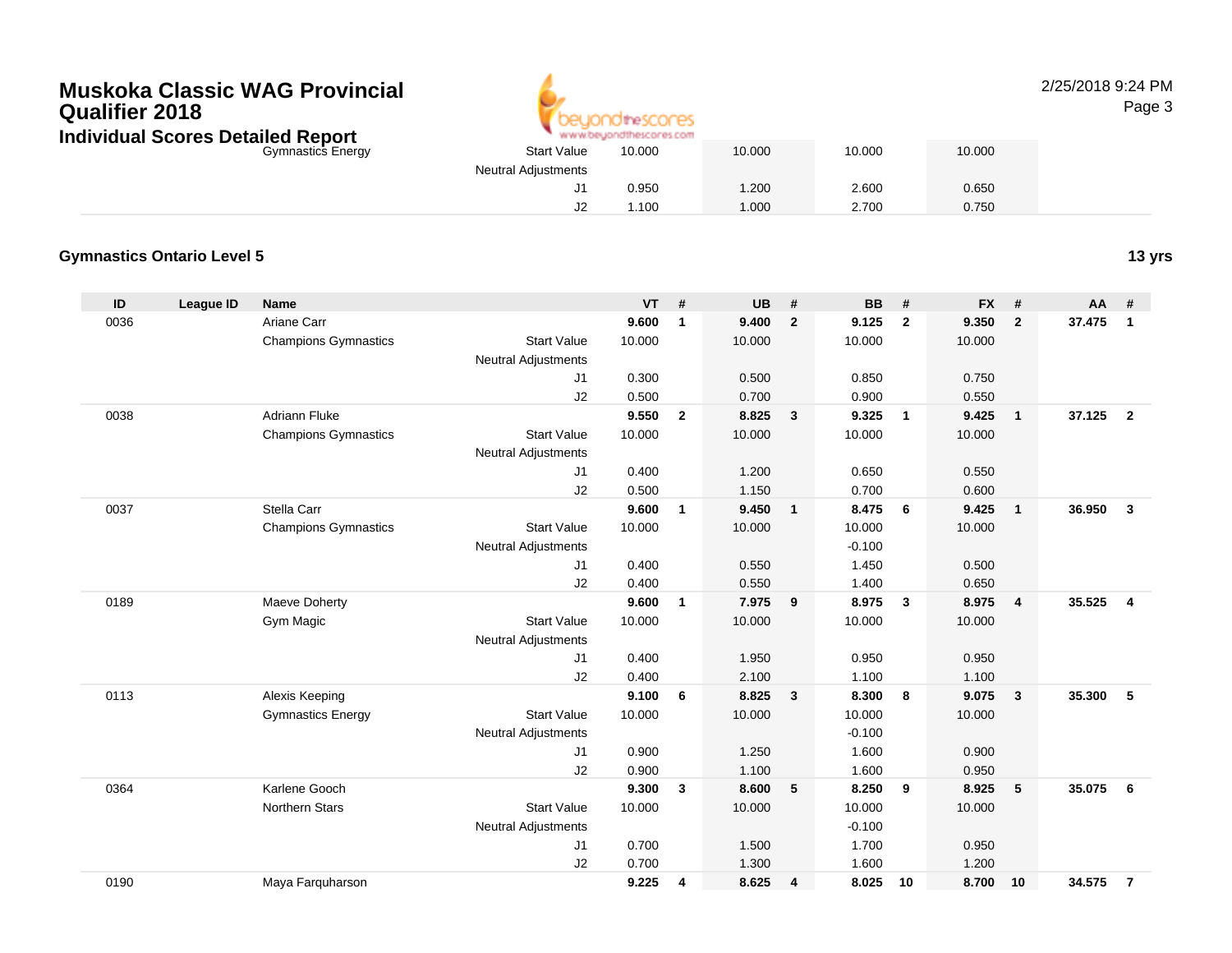# **Muskoka Classic WAG ProvincialQualifier 2018Individua**



# 2/25/2018 9:24 PM

Page 3

|                    | al Scores Detailed Report   |                            | www.beyondthescores.com |    |           |                         |           |                         |        |                         |        |     |        |
|--------------------|-----------------------------|----------------------------|-------------------------|----|-----------|-------------------------|-----------|-------------------------|--------|-------------------------|--------|-----|--------|
|                    | <b>Gymnastics Energy</b>    | <b>Start Value</b>         | 10.000                  |    | 10.000    |                         | 10.000    |                         | 10.000 |                         |        |     |        |
|                    |                             | <b>Neutral Adjustments</b> |                         |    |           |                         |           |                         |        |                         |        |     |        |
|                    |                             | J1                         | 0.950                   |    | 1.200     |                         | 2.600     |                         | 0.650  |                         |        |     |        |
|                    |                             | J2                         | 1.100                   |    | 1.000     |                         | 2.700     |                         | 0.750  |                         |        |     |        |
|                    |                             |                            |                         |    |           |                         |           |                         |        |                         |        |     |        |
| cs Ontario Level 5 |                             |                            |                         |    |           |                         |           |                         |        |                         |        |     | 13 yrs |
| League ID          | <b>Name</b>                 |                            | <b>VT</b>               | #  | <b>UB</b> | #                       | <b>BB</b> | #                       | $FX$ # |                         | $AA$ # |     |        |
|                    | Ariane Carr                 |                            | 9.600                   | -1 | 9.400     | $\overline{\mathbf{2}}$ | 9.125     | $\overline{\mathbf{2}}$ | 9.350  | $\overline{\mathbf{2}}$ | 37.475 | - 1 |        |
|                    | <b>Champions Gymnastics</b> | <b>Start Value</b>         | 10.000                  |    | 10.000    |                         | 10.000    |                         | 10.000 |                         |        |     |        |
|                    |                             | <b>Neutral Adjustments</b> |                         |    |           |                         |           |                         |        |                         |        |     |        |
|                    |                             | J1                         | 0.300                   |    | 0.500     |                         | 0.850     |                         | 0.750  |                         |        |     |        |
|                    |                             |                            |                         |    |           |                         |           |                         |        |                         |        |     |        |

#### **Gymnastic**

| ID   | <b>League ID</b> | <b>Name</b>                 |                            | <b>VT</b> | $\pmb{\#}$   | <b>UB</b> | #              | <b>BB</b> | #              | <b>FX</b> | #                       | AA     | #              |
|------|------------------|-----------------------------|----------------------------|-----------|--------------|-----------|----------------|-----------|----------------|-----------|-------------------------|--------|----------------|
| 0036 |                  | Ariane Carr                 |                            | 9.600     | $\mathbf{1}$ | 9.400     | $\overline{2}$ | 9.125     | $\overline{2}$ | 9.350     | $\overline{2}$          | 37.475 | $\mathbf{1}$   |
|      |                  | <b>Champions Gymnastics</b> | <b>Start Value</b>         | 10.000    |              | 10.000    |                | 10.000    |                | 10.000    |                         |        |                |
|      |                  |                             | Neutral Adjustments        |           |              |           |                |           |                |           |                         |        |                |
|      |                  |                             | J1                         | 0.300     |              | 0.500     |                | 0.850     |                | 0.750     |                         |        |                |
|      |                  |                             | J2                         | 0.500     |              | 0.700     |                | 0.900     |                | 0.550     |                         |        |                |
| 0038 |                  | <b>Adriann Fluke</b>        |                            | 9.550     | $\mathbf{2}$ | 8.825     | $\mathbf{3}$   | 9.325     | $\overline{1}$ | 9.425     | $\overline{\mathbf{1}}$ | 37.125 | $\overline{2}$ |
|      |                  | <b>Champions Gymnastics</b> | <b>Start Value</b>         | 10.000    |              | 10.000    |                | 10.000    |                | 10.000    |                         |        |                |
|      |                  |                             | <b>Neutral Adjustments</b> |           |              |           |                |           |                |           |                         |        |                |
|      |                  |                             | J1                         | 0.400     |              | 1.200     |                | 0.650     |                | 0.550     |                         |        |                |
|      |                  |                             | J2                         | 0.500     |              | 1.150     |                | 0.700     |                | 0.600     |                         |        |                |
| 0037 |                  | Stella Carr                 |                            | 9.600     | $\mathbf{1}$ | 9.450     | $\overline{1}$ | 8.475     | 6              | 9.425     | $\overline{1}$          | 36.950 | $\mathbf{3}$   |
|      |                  | <b>Champions Gymnastics</b> | <b>Start Value</b>         | 10.000    |              | 10.000    |                | 10.000    |                | 10.000    |                         |        |                |
|      |                  |                             | <b>Neutral Adjustments</b> |           |              |           |                | $-0.100$  |                |           |                         |        |                |
|      |                  |                             | J1                         | 0.400     |              | 0.550     |                | 1.450     |                | 0.500     |                         |        |                |
|      |                  |                             | J2                         | 0.400     |              | 0.550     |                | 1.400     |                | 0.650     |                         |        |                |
| 0189 |                  | Maeve Doherty               |                            | 9.600     | $\mathbf{1}$ | 7.975     | 9              | 8.975     | $\mathbf{3}$   | 8.975     | $\overline{4}$          | 35.525 | $\overline{4}$ |
|      |                  | Gym Magic                   | <b>Start Value</b>         | 10.000    |              | 10.000    |                | 10.000    |                | 10.000    |                         |        |                |
|      |                  |                             | <b>Neutral Adjustments</b> |           |              |           |                |           |                |           |                         |        |                |
|      |                  |                             | J1                         | 0.400     |              | 1.950     |                | 0.950     |                | 0.950     |                         |        |                |
|      |                  |                             | J2                         | 0.400     |              | 2.100     |                | 1.100     |                | 1.100     |                         |        |                |
| 0113 |                  | Alexis Keeping              |                            | 9.100     | 6            | 8.825     | $\mathbf{3}$   | 8.300     | 8              | 9.075     | $\overline{\mathbf{3}}$ | 35.300 | -5             |
|      |                  | <b>Gymnastics Energy</b>    | <b>Start Value</b>         | 10.000    |              | 10.000    |                | 10.000    |                | 10.000    |                         |        |                |
|      |                  |                             | <b>Neutral Adjustments</b> |           |              |           |                | $-0.100$  |                |           |                         |        |                |
|      |                  |                             | J1                         | 0.900     |              | 1.250     |                | 1.600     |                | 0.900     |                         |        |                |
|      |                  |                             | J2                         | 0.900     |              | 1.100     |                | 1.600     |                | 0.950     |                         |        |                |
| 0364 |                  | Karlene Gooch               |                            | 9.300     | 3            | 8.600     | 5              | 8.250     | 9              | 8.925     | 5                       | 35.075 | - 6            |
|      |                  | <b>Northern Stars</b>       | <b>Start Value</b>         | 10.000    |              | 10.000    |                | 10.000    |                | 10.000    |                         |        |                |
|      |                  |                             | <b>Neutral Adjustments</b> |           |              |           |                | $-0.100$  |                |           |                         |        |                |
|      |                  |                             | J1                         | 0.700     |              | 1.500     |                | 1.700     |                | 0.950     |                         |        |                |
|      |                  |                             | J2                         | 0.700     |              | 1.300     |                | 1.600     |                | 1.200     |                         |        |                |
| 0190 |                  | Maya Farquharson            |                            | 9.225     | 4            | 8.625     | 4              | 8.025     | 10             | 8.700     | 10                      | 34.575 | $\overline{7}$ |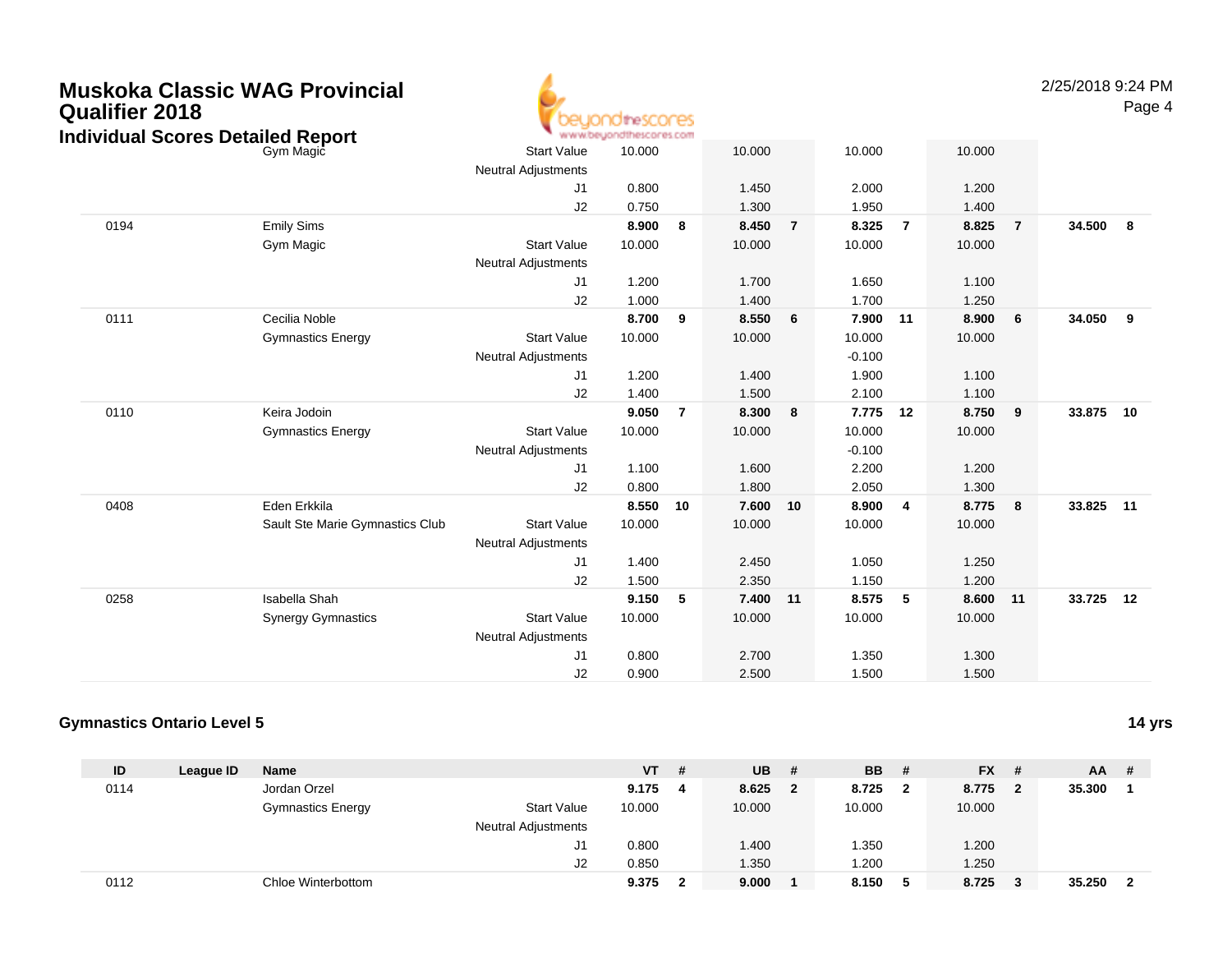| <b>Qualifier 2018</b> | <b>Muskoka Classic WAG Provincial</b>                 |                                                  | )ChreScones<br>www.beuondthescores.com |                |                |                |                |                |                |                | 2/25/2018 9:24 PM | Page 4 |
|-----------------------|-------------------------------------------------------|--------------------------------------------------|----------------------------------------|----------------|----------------|----------------|----------------|----------------|----------------|----------------|-------------------|--------|
|                       | <b>Individual Scores Detailed Report</b><br>Gym Magic | <b>Start Value</b><br><b>Neutral Adjustments</b> | 10.000                                 |                | 10.000         |                | 10.000         |                | 10.000         |                |                   |        |
|                       |                                                       | J <sub>1</sub><br>J2                             | 0.800<br>0.750                         |                | 1.450<br>1.300 |                | 2.000<br>1.950 |                | 1.200<br>1.400 |                |                   |        |
| 0194                  | <b>Emily Sims</b>                                     |                                                  | 8.900                                  | 8              | 8.450          | $\overline{7}$ | 8.325          | $\overline{7}$ | 8.825          | $\overline{7}$ | 34.500            | 8      |
|                       | Gym Magic                                             | <b>Start Value</b><br><b>Neutral Adjustments</b> | 10.000                                 |                | 10.000         |                | 10.000         |                | 10.000         |                |                   |        |
|                       |                                                       | J1                                               | 1.200                                  |                | 1.700          |                | 1.650          |                | 1.100          |                |                   |        |
|                       |                                                       | J2                                               | 1.000                                  |                | 1.400          |                | 1.700          |                | 1.250          |                |                   |        |
| 0111                  | Cecilia Noble                                         |                                                  | 8.700                                  | - 9            | 8.550          | 6              | 7.900          | 11             | 8.900          | 6              | 34.050            | 9      |
|                       | <b>Gymnastics Energy</b>                              | <b>Start Value</b>                               | 10.000                                 |                | 10.000         |                | 10.000         |                | 10.000         |                |                   |        |
|                       |                                                       | <b>Neutral Adjustments</b>                       |                                        |                |                |                | $-0.100$       |                |                |                |                   |        |
|                       |                                                       | J1                                               | 1.200                                  |                | 1.400          |                | 1.900          |                | 1.100          |                |                   |        |
|                       |                                                       | J2                                               | 1.400                                  |                | 1.500          |                | 2.100          |                | 1.100          |                |                   |        |
| 0110                  | Keira Jodoin                                          |                                                  | 9.050                                  | $\overline{7}$ | 8.300          | 8              | 7.775          | 12             | 8.750          | 9              | 33.875            | 10     |
|                       | <b>Gymnastics Energy</b>                              | <b>Start Value</b>                               | 10.000                                 |                | 10.000         |                | 10.000         |                | 10.000         |                |                   |        |
|                       |                                                       | <b>Neutral Adjustments</b>                       |                                        |                |                |                | $-0.100$       |                |                |                |                   |        |
|                       |                                                       | J1                                               | 1.100                                  |                | 1.600          |                | 2.200          |                | 1.200          |                |                   |        |
|                       |                                                       | J2                                               | 0.800                                  |                | 1.800          |                | 2.050          |                | 1.300          |                |                   |        |
| 0408                  | Eden Erkkila                                          |                                                  | 8.550                                  | 10             | 7.600          | 10             | 8.900          | $\overline{4}$ | 8.775          | 8              | 33.825            | $-11$  |
|                       | Sault Ste Marie Gymnastics Club                       | <b>Start Value</b>                               | 10.000                                 |                | 10.000         |                | 10.000         |                | 10.000         |                |                   |        |
|                       |                                                       | <b>Neutral Adjustments</b>                       |                                        |                |                |                |                |                |                |                |                   |        |
|                       |                                                       | J <sub>1</sub>                                   | 1.400                                  |                | 2.450          |                | 1.050          |                | 1.250          |                |                   |        |
|                       |                                                       | J2                                               | 1.500                                  |                | 2.350          |                | 1.150          |                | 1.200          |                |                   |        |
| 0258                  | Isabella Shah                                         |                                                  | 9.150                                  | 5              | 7.400          | 11             | 8.575          | $\sqrt{5}$     | 8.600          | 11             | 33.725            | 12     |
|                       | <b>Synergy Gymnastics</b>                             | <b>Start Value</b>                               | 10.000                                 |                | 10.000         |                | 10.000         |                | 10.000         |                |                   |        |
|                       |                                                       | <b>Neutral Adjustments</b>                       |                                        |                |                |                |                |                |                |                |                   |        |
|                       |                                                       | J <sub>1</sub>                                   | 0.800                                  |                | 2.700          |                | 1.350          |                | 1.300          |                |                   |        |
|                       |                                                       | J2                                               | 0.900                                  |                | 2.500          |                | 1.500          |                | 1.500          |                |                   |        |

#### **Gymnastics Ontario Level 514 yrs**

| ID   | League ID | Name                     |                            | VT     | # | <b>UB</b> | #              | <b>BB</b> | #            | $FX$ # |              | $AA$ # |                         |
|------|-----------|--------------------------|----------------------------|--------|---|-----------|----------------|-----------|--------------|--------|--------------|--------|-------------------------|
| 0114 |           | Jordan Orzel             |                            | 9.175  | 4 | 8.625     | $\overline{2}$ | 8.725     | $\mathbf{2}$ | 8.775  | $\mathbf{2}$ | 35.300 | $\blacksquare$          |
|      |           | <b>Gymnastics Energy</b> | <b>Start Value</b>         | 10.000 |   | 10.000    |                | 10.000    |              | 10.000 |              |        |                         |
|      |           |                          | <b>Neutral Adjustments</b> |        |   |           |                |           |              |        |              |        |                         |
|      |           |                          | J1                         | 0.800  |   | 1.400     |                | .350      |              | 1.200  |              |        |                         |
|      |           |                          | J2                         | 0.850  |   | 1.350     |                | .200      |              | 1.250  |              |        |                         |
| 0112 |           | Chloe Winterbottom       |                            | 9.375  | 2 | 9.000     |                | 8.150     | 5            | 8.725  | 3            | 35.250 | $\overline{\mathbf{2}}$ |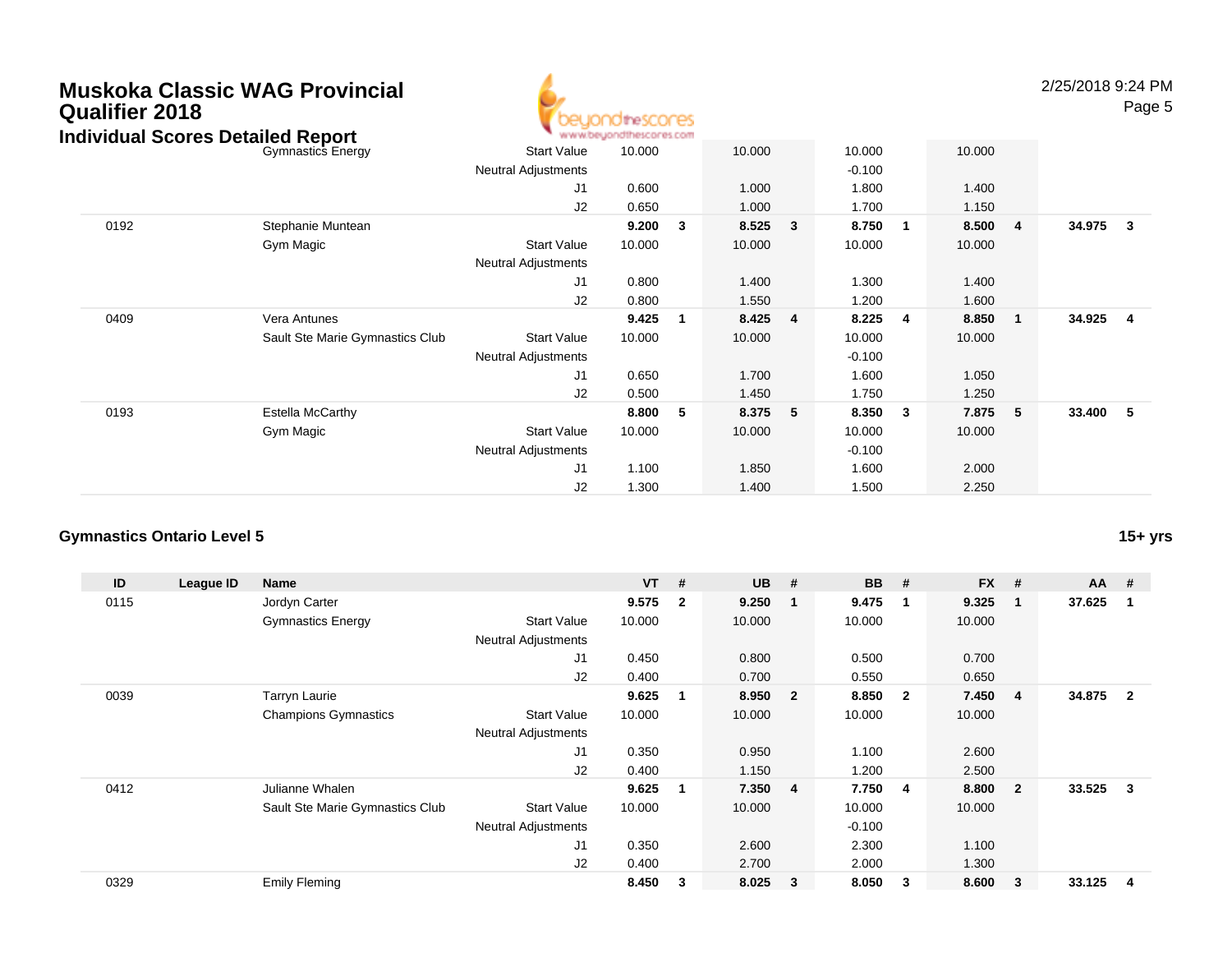### **Muskoka Classic WAG ProvincialQualifier 2018Individual Scores Detailed Report**



2/25/2018 9:24 PMPage 5

| dividual Scores Detailed Report |                                 |                            | www.beyondthescores.com |   |        |   |          |   |         |                |          |                         |
|---------------------------------|---------------------------------|----------------------------|-------------------------|---|--------|---|----------|---|---------|----------------|----------|-------------------------|
|                                 | <b>Gymnastics Energy</b>        | <b>Start Value</b>         | 10.000                  |   | 10.000 |   | 10.000   |   | 10.000  |                |          |                         |
|                                 |                                 | <b>Neutral Adjustments</b> |                         |   |        |   | $-0.100$ |   |         |                |          |                         |
|                                 |                                 | J1                         | 0.600                   |   | 1.000  |   | 1.800    |   | 1.400   |                |          |                         |
|                                 |                                 | J2                         | 0.650                   |   | 1.000  |   | 1.700    |   | 1.150   |                |          |                         |
| 0192                            | Stephanie Muntean               |                            | 9.200                   | 3 | 8.525  | 3 | 8.750    | 1 | 8.500 4 |                | 34.975 3 |                         |
|                                 | Gym Magic                       | <b>Start Value</b>         | 10.000                  |   | 10.000 |   | 10.000   |   | 10.000  |                |          |                         |
|                                 |                                 | <b>Neutral Adjustments</b> |                         |   |        |   |          |   |         |                |          |                         |
|                                 |                                 | J1                         | 0.800                   |   | 1.400  |   | 1.300    |   | 1.400   |                |          |                         |
|                                 |                                 | J2                         | 0.800                   |   | 1.550  |   | 1.200    |   | 1.600   |                |          |                         |
| 0409                            | Vera Antunes                    |                            | 9.425                   | 1 | 8.425  | 4 | 8.225    | 4 | 8.850   | $\blacksquare$ | 34.925   | $\overline{\mathbf{4}}$ |
|                                 | Sault Ste Marie Gymnastics Club | <b>Start Value</b>         | 10.000                  |   | 10.000 |   | 10.000   |   | 10.000  |                |          |                         |
|                                 |                                 | <b>Neutral Adjustments</b> |                         |   |        |   | $-0.100$ |   |         |                |          |                         |
|                                 |                                 | J1                         | 0.650                   |   | 1.700  |   | 1.600    |   | 1.050   |                |          |                         |
|                                 |                                 | J2                         | 0.500                   |   | 1.450  |   | 1.750    |   | 1.250   |                |          |                         |
| 0193                            | Estella McCarthy                |                            | 8.800                   | 5 | 8.375  | 5 | 8.350    | 3 | 7.875   | 5              | 33.400   | 5                       |
|                                 | Gym Magic                       | <b>Start Value</b>         | 10.000                  |   | 10.000 |   | 10.000   |   | 10.000  |                |          |                         |
|                                 |                                 | <b>Neutral Adjustments</b> |                         |   |        |   | $-0.100$ |   |         |                |          |                         |
|                                 |                                 | J1                         | 1.100                   |   | 1.850  |   | 1.600    |   | 2.000   |                |          |                         |
|                                 |                                 | J2                         | 1.300                   |   | 1.400  |   | 1.500    |   | 2.250   |                |          |                         |

#### **Gymnastics Ontario Level 5**

| ID   | League ID | Name                            |                            | <b>VT</b> | $\overline{t}$ | <b>UB</b> | #                       | <b>BB</b> | #                       | <b>FX</b> | #              | $AA$ # |                |
|------|-----------|---------------------------------|----------------------------|-----------|----------------|-----------|-------------------------|-----------|-------------------------|-----------|----------------|--------|----------------|
| 0115 |           | Jordyn Carter                   |                            | 9.575     | $\overline{2}$ | 9.250     | - 1                     | 9.475     | $\mathbf 1$             | 9.325     | 1              | 37.625 |                |
|      |           | <b>Gymnastics Energy</b>        | <b>Start Value</b>         | 10.000    |                | 10.000    |                         | 10.000    |                         | 10.000    |                |        |                |
|      |           |                                 | <b>Neutral Adjustments</b> |           |                |           |                         |           |                         |           |                |        |                |
|      |           |                                 | J1                         | 0.450     |                | 0.800     |                         | 0.500     |                         | 0.700     |                |        |                |
|      |           |                                 | J2                         | 0.400     |                | 0.700     |                         | 0.550     |                         | 0.650     |                |        |                |
| 0039 |           | <b>Tarryn Laurie</b>            |                            | 9.625     | -1             | 8.950     | $\overline{\mathbf{2}}$ | 8.850     | $\overline{\mathbf{2}}$ | 7.450     | 4              | 34.875 | $\overline{2}$ |
|      |           | <b>Champions Gymnastics</b>     | <b>Start Value</b>         | 10.000    |                | 10.000    |                         | 10.000    |                         | 10.000    |                |        |                |
|      |           |                                 | <b>Neutral Adjustments</b> |           |                |           |                         |           |                         |           |                |        |                |
|      |           |                                 | J1                         | 0.350     |                | 0.950     |                         | 1.100     |                         | 2.600     |                |        |                |
|      |           |                                 | J2                         | 0.400     |                | 1.150     |                         | 1.200     |                         | 2.500     |                |        |                |
| 0412 |           | Julianne Whalen                 |                            | 9.625     | 1              | 7.350     | $\overline{\mathbf{4}}$ | 7.750     | -4                      | 8.800     | $\overline{2}$ | 33.525 | -3             |
|      |           | Sault Ste Marie Gymnastics Club | <b>Start Value</b>         | 10.000    |                | 10.000    |                         | 10.000    |                         | 10.000    |                |        |                |
|      |           |                                 | Neutral Adjustments        |           |                |           |                         | $-0.100$  |                         |           |                |        |                |
|      |           |                                 | J <sub>1</sub>             | 0.350     |                | 2.600     |                         | 2.300     |                         | 1.100     |                |        |                |
|      |           |                                 | J2                         | 0.400     |                | 2.700     |                         | 2.000     |                         | 1.300     |                |        |                |
| 0329 |           | <b>Emily Fleming</b>            |                            | 8.450     | 3              | 8.025     | $\mathbf{3}$            | 8.050     | 3                       | 8.600     | 3              | 33.125 | 4              |

**15+ yrs**